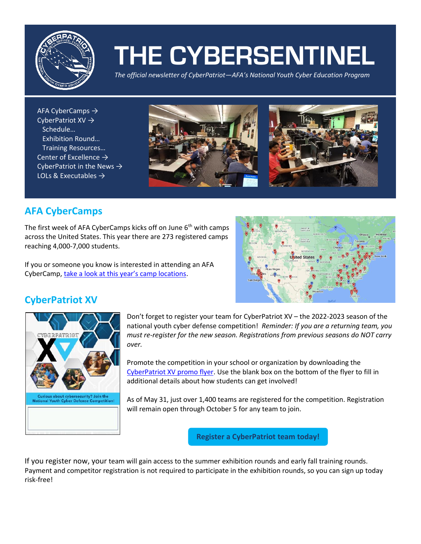

# **THE CYBERSENTINEL**

*The official newsletter of CyberPatriot—AFA's National Youth Cyber Education Program*

[AFA CyberCamps](#page-0-0) → [CyberPatriot XV](#page-0-1) → [Schedule](#page-1-0)… [Exhibition Round](#page-1-1)… Training [Resources](#page-1-2)… [Center of Excellence](#page-2-0) → [CyberPatriot in](#page-2-1) the News  $\rightarrow$ LOLs & Executables  $\rightarrow$ 





### **AFA CyberCamps**

<span id="page-0-0"></span>The first week of AFA CyberCamps kicks off on June  $6<sup>th</sup>$  with camps across the United States. This year there are 273 registered camps reaching 4,000-7,000 students.

If you or someone you know is interested in attending an AFA CyberCamp, [take a look at this year's camp locations](https://www.uscyberpatriot.org/afa-cybercamps/attend-a-camp).



## <span id="page-0-1"></span>**CyberPatriot XV**



Don't forget to register your team for CyberPatriot XV – the 2022-2023 season of the national youth cyber defense competition! *Reminder: If you are a returning team, you must re-register for the new season. Registrations from previous seasons do NOT carry over.*

Promote the competition in your school or organization by downloading the [CyberPatriot XV promo flyer.](https://www.uscyberpatriot.org/Documents/CPXV%20Poster.png) Use the blank box on the bottom of the flyer to fill in additional details about how students can get involved!

As of May 31, just over 1,400 teams are registered for the competition. Registration will remain open through October 5 for any team to join.

**[Register a CyberPatriot team](https://www.uscyberpatriot.org/afa-cybercamps/attend-a-camp) today!**

If you register now, your team will gain access to the summer exhibition rounds and early fall training rounds. Payment and competitor registration is not required to participate in the exhibition rounds, so you can sign up today risk-free!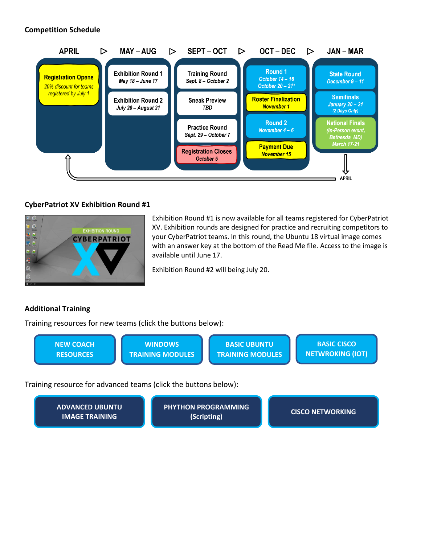#### **Competition Schedule**

<span id="page-1-0"></span>

#### <span id="page-1-1"></span>**CyberPatriot XV Exhibition Round #1**



Exhibition Round #1 is now available for all teams registered for CyberPatriot XV. Exhibition rounds are designed for practice and recruiting competitors to your CyberPatriot teams. In this round, the Ubuntu 18 virtual image comes with an answer key at the bottom of the Read Me file. Access to the image is available until June 17.

Exhibition Round #2 will being July 20.

#### <span id="page-1-2"></span>**Additional Training**

Training resources for new teams (click the buttons below):



Training resource for advanced teams (click the buttons below):

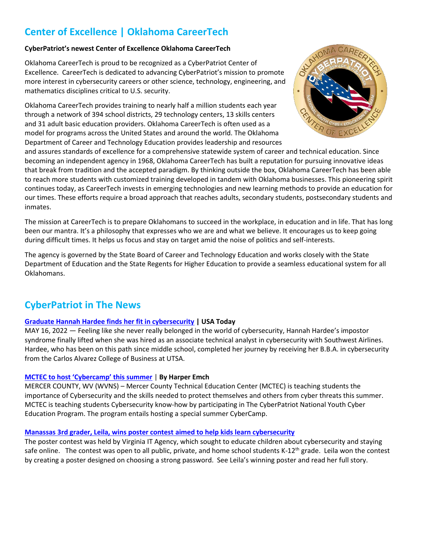## **Center of Excellence | Oklahoma CareerTech**

#### <span id="page-2-0"></span>**CyberPatriot's newest Center of Excellence Oklahoma CareerTech**

Oklahoma CareerTech is proud to be recognized as a CyberPatriot Center of Excellence. CareerTech is dedicated to advancing CyberPatriot's mission to promote more interest in cybersecurity careers or other science, technology, engineering, and mathematics disciplines critical to U.S. security.

Oklahoma CareerTech provides training to nearly half a million students each year through a network of 394 school districts, 29 technology centers, 13 skills centers and 31 adult basic education providers. Oklahoma CareerTech is often used as a model for programs across the United States and around the world. The Oklahoma Department of Career and Technology Education provides leadership and resources



and assures standards of excellence for a comprehensive statewide system of career and technical education. Since becoming an independent agency in 1968, Oklahoma CareerTech has built a reputation for pursuing innovative ideas that break from tradition and the accepted paradigm. By thinking outside the box, Oklahoma CareerTech has been able to reach more students with customized training developed in tandem with Oklahoma businesses. This pioneering spirit continues today, as CareerTech invests in emerging technologies and new learning methods to provide an education for our times. These efforts require a broad approach that reaches adults, secondary students, postsecondary students and inmates.

The mission at CareerTech is to prepare Oklahomans to succeed in the workplace, in education and in life. That has long been our mantra. It's a philosophy that expresses who we are and what we believe. It encourages us to keep going during difficult times. It helps us focus and stay on target amid the noise of politics and self-interests.

The agency is governed by the State Board of Career and Technology Education and works closely with the State Department of Education and the State Regents for Higher Education to provide a seamless educational system for all Oklahomans.

## <span id="page-2-1"></span>**CyberPatriot in The News**

#### **[Graduate Hannah Hardee finds her fit in cybersecurity](https://www.utsa.edu/today/2022/05/story/2022-graduate-hannah-hardee.html) | USA Today**

MAY 16, 2022 — Feeling like she never really belonged in the world of cybersecurity, Hannah Hardee's impostor syndrome finally lifted when she was hired as an associate technical analyst in cybersecurity with Southwest Airlines. Hardee, who has been on this path since middle school, completed her journey by receiving her B.B.A. in cybersecurity from the Carlos Alvarez College of Business at UTSA.

#### **[MCTEC to host 'Cybercamp' this summer](https://www.wvnstv.com/news/mctec-to-host-cybercamp-this-summer/)** | **By Harper Emch**

MERCER COUNTY, WV (WVNS) – Mercer County Technical Education Center (MCTEC) is teaching students the importance of Cybersecurity and the skills needed to protect themselves and others from cyber threats this summer. MCTEC is teaching students Cybersecurity know-how by participating in The CyberPatriot National Youth Cyber Education Program. The program entails hosting a special summer CyberCamp.

#### **[Manassas 3rd grader, Leila, wins poster contest](https://www.msn.com/en-us/news/us/manassas-3rd-grader-leila-wins-poster-contest-aimed-to-help-kids-learn-cybersecurity/ar-AAWN2Zt?ocid=msedgntp&cvid=4b6b7e3b7fda416fbc528cd2c7ee3c4c#image=2) aimed to help kids learn cybersecurity**

The poster contest was held by Virginia IT Agency, which sought to educate children about cybersecurity and staying safe online. The contest was open to all public, private, and home school students K-12<sup>th</sup> grade. Leila won the contest by creating a poster designed on choosing a strong password. See Leila's winning poster and read her full story.